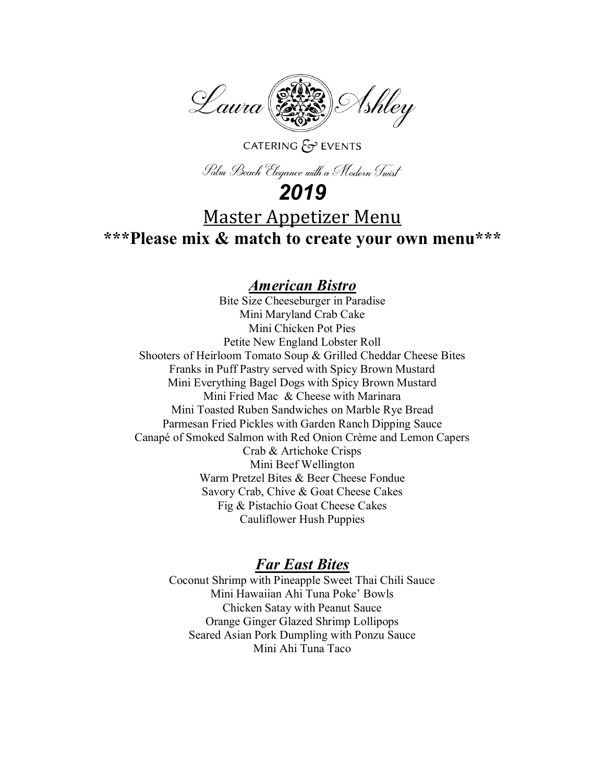

### CATERING  $\mathcal{E}$  EVENTS

Palm Beach Elegance with a Modern Twist

## *2019*

# Master Appetizer Menu

**\*\*\*Please mix & match to create your own menu\*\*\***

## *American Bistro*

Bite Size Cheeseburger in Paradise Mini Maryland Crab Cake Mini Chicken Pot Pies Petite New England Lobster Roll Shooters of Heirloom Tomato Soup & Grilled Cheddar Cheese Bites Franks in Puff Pastry served with Spicy Brown Mustard Mini Everything Bagel Dogs with Spicy Brown Mustard Mini Fried Mac & Cheese with Marinara Mini Toasted Ruben Sandwiches on Marble Rye Bread Parmesan Fried Pickles with Garden Ranch Dipping Sauce Canapé of Smoked Salmon with Red Onion Crème and Lemon Capers Crab & Artichoke Crisps Mini Beef Wellington Warm Pretzel Bites & Beer Cheese Fondue Savory Crab, Chive & Goat Cheese Cakes Fig & Pistachio Goat Cheese Cakes Cauliflower Hush Puppies

## *Far East Bites*

Coconut Shrimp with Pineapple Sweet Thai Chili Sauce Mini Hawaiian Ahi Tuna Poke' Bowls Chicken Satay with Peanut Sauce Orange Ginger Glazed Shrimp Lollipops Seared Asian Pork Dumpling with Ponzu Sauce Mini Ahi Tuna Taco